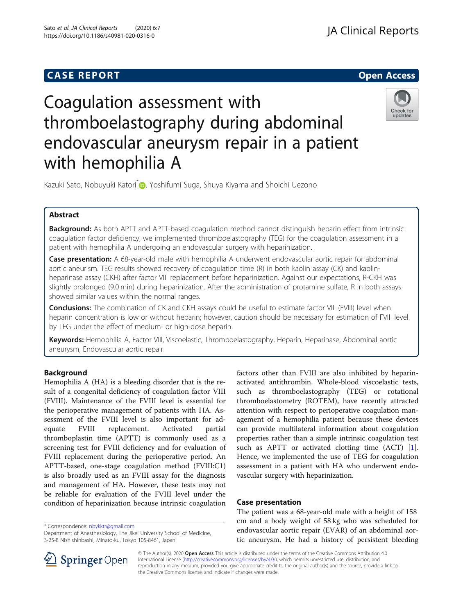# **CASE REPORT And SERVICE SERVICE SERVICE SERVICE SERVICE SERVICE SERVICE SERVICE SERVICE SERVICE SERVICE SERVICE**

# Coagulation assessment with thromboelastography during abdominal endovascular aneurysm repair in a patient with hemophilia A



Kazuki Sato, Nobuyuki Katori<sup>\*</sup> , Yoshifumi Suga, Shuya Kiyama and Shoichi Uezono

# Abstract

Background: As both APTT and APTT-based coagulation method cannot distinguish heparin effect from intrinsic coagulation factor deficiency, we implemented thromboelastography (TEG) for the coagulation assessment in a patient with hemophilia A undergoing an endovascular surgery with heparinization.

Case presentation: A 68-year-old male with hemophilia A underwent endovascular aortic repair for abdominal aortic aneurism. TEG results showed recovery of coagulation time (R) in both kaolin assay (CK) and kaolinheparinase assay (CKH) after factor VIII replacement before heparinization. Against our expectations, R-CKH was slightly prolonged (9.0 min) during heparinization. After the administration of protamine sulfate, R in both assays showed similar values within the normal ranges.

**Conclusions:** The combination of CK and CKH assays could be useful to estimate factor VIII (FVIII) level when heparin concentration is low or without heparin; however, caution should be necessary for estimation of FVIII level by TEG under the effect of medium- or high-dose heparin.

Keywords: Hemophilia A, Factor VIII, Viscoelastic, Thromboelastography, Heparin, Heparinase, Abdominal aortic aneurysm, Endovascular aortic repair

# Background

Hemophilia A (HA) is a bleeding disorder that is the result of a congenital deficiency of coagulation factor VIII (FVIII). Maintenance of the FVIII level is essential for the perioperative management of patients with HA. Assessment of the FVIII level is also important for adequate FVIII replacement. Activated partial thromboplastin time (APTT) is commonly used as a screening test for FVIII deficiency and for evaluation of FVIII replacement during the perioperative period. An APTT-based, one-stage coagulation method (FVIII:C1) is also broadly used as an FVIII assay for the diagnosis and management of HA. However, these tests may not be reliable for evaluation of the FVIII level under the condition of heparinization because intrinsic coagulation

\* Correspondence: [nbykktr@gmail.com](mailto:nbykktr@gmail.com)

factors other than FVIII are also inhibited by heparinactivated antithrombin. Whole-blood viscoelastic tests, such as thromboelastography (TEG) or rotational thromboelastometry (ROTEM), have recently attracted attention with respect to perioperative coagulation management of a hemophilia patient because these devices can provide multilateral information about coagulation properties rather than a simple intrinsic coagulation test such as APTT or activated clotting time (ACT) [\[1](#page-4-0)]. Hence, we implemented the use of TEG for coagulation assessment in a patient with HA who underwent endovascular surgery with heparinization.

# Case presentation

The patient was a 68-year-old male with a height of 158 cm and a body weight of 58 kg who was scheduled for endovascular aortic repair (EVAR) of an abdominal aortic aneurysm. He had a history of persistent bleeding



© The Author(s). 2020 Open Access This article is distributed under the terms of the Creative Commons Attribution 4.0 International License ([http://creativecommons.org/licenses/by/4.0/\)](http://creativecommons.org/licenses/by/4.0/), which permits unrestricted use, distribution, and reproduction in any medium, provided you give appropriate credit to the original author(s) and the source, provide a link to the Creative Commons license, and indicate if changes were made.

Department of Anesthesiology, The Jikei University School of Medicine, 3-25-8 Nishishinbashi, Minato-ku, Tokyo 105-8461, Japan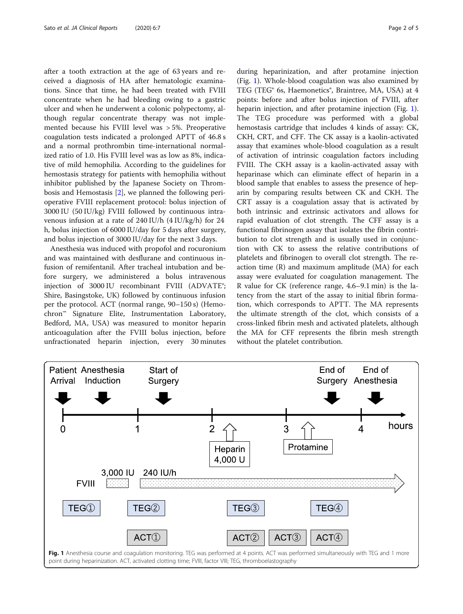after a tooth extraction at the age of 63 years and received a diagnosis of HA after hematologic examinations. Since that time, he had been treated with FVIII concentrate when he had bleeding owing to a gastric ulcer and when he underwent a colonic polypectomy, although regular concentrate therapy was not implemented because his FVIII level was > 5%. Preoperative coagulation tests indicated a prolonged APTT of 46.8 s and a normal prothrombin time-international normalized ratio of 1.0. His FVIII level was as low as 8%, indicative of mild hemophilia. According to the guidelines for hemostasis strategy for patients with hemophilia without inhibitor published by the Japanese Society on Thrombosis and Hemostasis [\[2](#page-4-0)], we planned the following perioperative FVIII replacement protocol: bolus injection of 3000 IU (50 IU/kg) FVIII followed by continuous intravenous infusion at a rate of 240 IU/h (4 IU/kg/h) for 24 h, bolus injection of 6000 IU/day for 5 days after surgery, and bolus injection of 3000 IU/day for the next 3 days.

Anesthesia was induced with propofol and rocuronium and was maintained with desflurane and continuous infusion of remifentanil. After tracheal intubation and before surgery, we administered a bolus intravenous injection of 3000 IU recombinant FVIII (ADVATE®; Shire, Basingstoke, UK) followed by continuous infusion per the protocol. ACT (normal range, 90–150 s) (Hemochron™ Signature Elite, Instrumentation Laboratory, Bedford, MA, USA) was measured to monitor heparin anticoagulation after the FVIII bolus injection, before unfractionated heparin injection, every 30 minutes

during heparinization, and after protamine injection (Fig. 1). Whole-blood coagulation was also examined by TEG (TEG® 6s, Haemonetics®, Braintree, MA, USA) at 4 points: before and after bolus injection of FVIII, after heparin injection, and after protamine injection (Fig. 1). The TEG procedure was performed with a global hemostasis cartridge that includes 4 kinds of assay: CK, CKH, CRT, and CFF. The CK assay is a kaolin-activated assay that examines whole-blood coagulation as a result of activation of intrinsic coagulation factors including FVIII. The CKH assay is a kaolin-activated assay with heparinase which can eliminate effect of heparin in a blood sample that enables to assess the presence of heparin by comparing results between CK and CKH. The CRT assay is a coagulation assay that is activated by both intrinsic and extrinsic activators and allows for rapid evaluation of clot strength. The CFF assay is a functional fibrinogen assay that isolates the fibrin contribution to clot strength and is usually used in conjunction with CK to assess the relative contributions of platelets and fibrinogen to overall clot strength. The reaction time (R) and maximum amplitude (MA) for each assay were evaluated for coagulation management. The R value for CK (reference range, 4.6–9.1 min) is the latency from the start of the assay to initial fibrin formation, which corresponds to APTT. The MA represents the ultimate strength of the clot, which consists of a cross-linked fibrin mesh and activated platelets, although the MA for CFF represents the fibrin mesh strength without the platelet contribution.

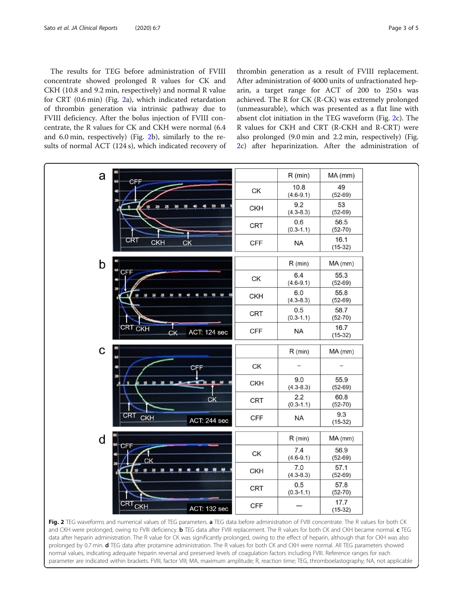<span id="page-2-0"></span>The results for TEG before administration of FVIII concentrate showed prolonged R values for CK and CKH (10.8 and 9.2 min, respectively) and normal R value for CRT (0.6 min) (Fig. 2a), which indicated retardation of thrombin generation via intrinsic pathway due to FVIII deficiency. After the bolus injection of FVIII concentrate, the R values for CK and CKH were normal (6.4 and 6.0 min, respectively) (Fig. 2b), similarly to the results of normal ACT (124 s), which indicated recovery of

thrombin generation as a result of FVIII replacement. After administration of 4000 units of unfractionated heparin, a target range for ACT of 200 to 250 s was achieved. The R for CK (R-CK) was extremely prolonged (unmeasurable), which was presented as a flat line with absent clot initiation in the TEG waveform (Fig. 2c). The R values for CKH and CRT (R-CKH and R-CRT) were also prolonged (9.0 min and 2.2 min, respectively) (Fig. 2c) after heparinization. After the administration of



Fig. 2 TEG waveforms and numerical values of TEG parameters. a TEG data before administration of FVIII concentrate. The R values for both CK and CKH were prolonged, owing to FVIII deficiency. **b** TEG data after FVIII replacement. The R values for both CK and CKH became normal. c TEG data after heparin administration. The R value for CK was significantly prolonged, owing to the effect of heparin, although that for CKH was also prolonged by 0.7 min. d TEG data after protamine administration. The R values for both CK and CKH were normal. All TEG parameters showed normal values, indicating adequate heparin reversal and preserved levels of coagulation factors including FVIII. Reference ranges for each parameter are indicated within brackets. FVIII, factor VIII; MA, maximum amplitude; R, reaction time; TEG, thromboelastography; NA, not applicable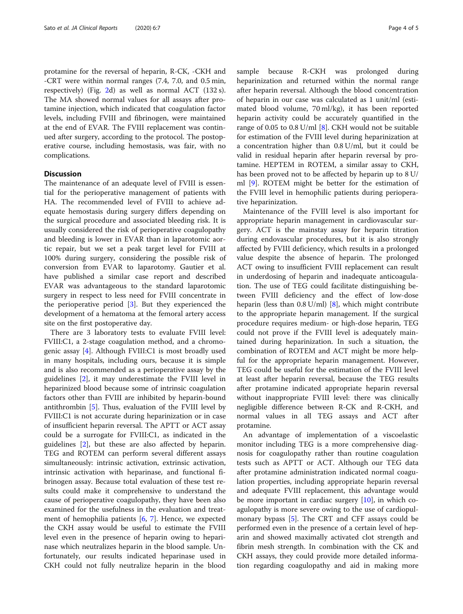protamine for the reversal of heparin, R-CK, -CKH and -CRT were within normal ranges (7.4, 7.0, and 0.5 min, respectively) (Fig. [2](#page-2-0)d) as well as normal ACT (132 s). The MA showed normal values for all assays after protamine injection, which indicated that coagulation factor levels, including FVIII and fibrinogen, were maintained at the end of EVAR. The FVIII replacement was continued after surgery, according to the protocol. The postoperative course, including hemostasis, was fair, with no complications.

### **Discussion**

The maintenance of an adequate level of FVIII is essential for the perioperative management of patients with HA. The recommended level of FVIII to achieve adequate hemostasis during surgery differs depending on the surgical procedure and associated bleeding risk. It is usually considered the risk of perioperative coagulopathy and bleeding is lower in EVAR than in laparotomic aortic repair, but we set a peak target level for FVIII at 100% during surgery, considering the possible risk of conversion from EVAR to laparotomy. Gautier et al. have published a similar case report and described EVAR was advantageous to the standard laparotomic surgery in respect to less need for FVIII concentrate in the perioperative period [\[3](#page-4-0)]. But they experienced the development of a hematoma at the femoral artery access site on the first postoperative day.

There are 3 laboratory tests to evaluate FVIII level: FVIII:C1, a 2-stage coagulation method, and a chromogenic assay [\[4](#page-4-0)]. Although FVIII:C1 is most broadly used in many hospitals, including ours, because it is simple and is also recommended as a perioperative assay by the guidelines [[2](#page-4-0)], it may underestimate the FVIII level in heparinized blood because some of intrinsic coagulation factors other than FVIII are inhibited by heparin-bound antithrombin [[5\]](#page-4-0). Thus, evaluation of the FVIII level by FVIII:C1 is not accurate during heparinization or in case of insufficient heparin reversal. The APTT or ACT assay could be a surrogate for FVIII:C1, as indicated in the guidelines [\[2\]](#page-4-0), but these are also affected by heparin. TEG and ROTEM can perform several different assays simultaneously: intrinsic activation, extrinsic activation, intrinsic activation with heparinase, and functional fibrinogen assay. Because total evaluation of these test results could make it comprehensive to understand the cause of perioperative coagulopathy, they have been also examined for the usefulness in the evaluation and treatment of hemophilia patients [\[6](#page-4-0), [7](#page-4-0)]. Hence, we expected the CKH assay would be useful to estimate the FVIII level even in the presence of heparin owing to heparinase which neutralizes heparin in the blood sample. Unfortunately, our results indicated heparinase used in CKH could not fully neutralize heparin in the blood sample because R-CKH was prolonged during heparinization and returned within the normal range after heparin reversal. Although the blood concentration of heparin in our case was calculated as 1 unit/ml (estimated blood volume, 70 ml/kg), it has been reported heparin activity could be accurately quantified in the range of 0.05 to 0.8 U/ml [[8](#page-4-0)]. CKH would not be suitable for estimation of the FVIII level during heparinization at a concentration higher than 0.8 U/ml, but it could be valid in residual heparin after heparin reversal by protamine. HEPTEM in ROTEM, a similar assay to CKH, has been proved not to be affected by heparin up to 8 U/ ml [\[9](#page-4-0)]. ROTEM might be better for the estimation of the FVIII level in hemophilic patients during perioperative heparinization.

Maintenance of the FVIII level is also important for appropriate heparin management in cardiovascular surgery. ACT is the mainstay assay for heparin titration during endovascular procedures, but it is also strongly affected by FVIII deficiency, which results in a prolonged value despite the absence of heparin. The prolonged ACT owing to insufficient FVIII replacement can result in underdosing of heparin and inadequate anticoagulation. The use of TEG could facilitate distinguishing between FVIII deficiency and the effect of low-dose heparin (less than  $0.8$  U/ml) [\[8](#page-4-0)], which might contribute to the appropriate heparin management. If the surgical procedure requires medium- or high-dose heparin, TEG could not prove if the FVIII level is adequately maintained during heparinization. In such a situation, the combination of ROTEM and ACT might be more helpful for the appropriate heparin management. However, TEG could be useful for the estimation of the FVIII level at least after heparin reversal, because the TEG results after protamine indicated appropriate heparin reversal without inappropriate FVIII level: there was clinically negligible difference between R-CK and R-CKH, and normal values in all TEG assays and ACT after protamine.

An advantage of implementation of a viscoelastic monitor including TEG is a more comprehensive diagnosis for coagulopathy rather than routine coagulation tests such as APTT or ACT. Although our TEG data after protamine administration indicated normal coagulation properties, including appropriate heparin reversal and adequate FVIII replacement, this advantage would be more important in cardiac surgery [\[10](#page-4-0)], in which coagulopathy is more severe owing to the use of cardiopulmonary bypass [\[5](#page-4-0)]. The CRT and CFF assays could be performed even in the presence of a certain level of heparin and showed maximally activated clot strength and fibrin mesh strength. In combination with the CK and CKH assays, they could provide more detailed information regarding coagulopathy and aid in making more